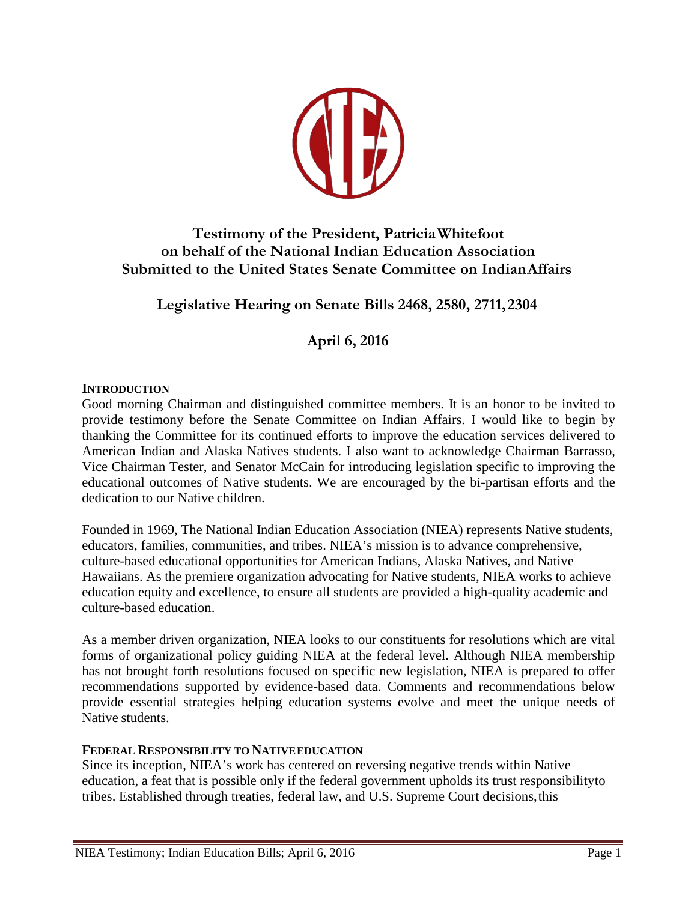

# **Testimony of the President, PatriciaWhitefoot on behalf of the National Indian Education Association Submitted to the United States Senate Committee on IndianAffairs**

# **Legislative Hearing on Senate Bills 2468, 2580, 2711,2304**

# **April 6, 2016**

### **INTRODUCTION**

Good morning Chairman and distinguished committee members. It is an honor to be invited to provide testimony before the Senate Committee on Indian Affairs. I would like to begin by thanking the Committee for its continued efforts to improve the education services delivered to American Indian and Alaska Natives students. I also want to acknowledge Chairman Barrasso, Vice Chairman Tester, and Senator McCain for introducing legislation specific to improving the educational outcomes of Native students. We are encouraged by the bi-partisan efforts and the dedication to our Native children.

Founded in 1969, The National Indian Education Association (NIEA) represents Native students, educators, families, communities, and tribes. NIEA's mission is to advance comprehensive, culture-based educational opportunities for American Indians, Alaska Natives, and Native Hawaiians. As the premiere organization advocating for Native students, NIEA works to achieve education equity and excellence, to ensure all students are provided a high-quality academic and culture-based education.

As a member driven organization, NIEA looks to our constituents for resolutions which are vital forms of organizational policy guiding NIEA at the federal level. Although NIEA membership has not brought forth resolutions focused on specific new legislation, NIEA is prepared to offer recommendations supported by evidence-based data. Comments and recommendations below provide essential strategies helping education systems evolve and meet the unique needs of Native students.

#### **FEDERAL RESPONSIBILITY TO NATIVEEDUCATION**

Since its inception, NIEA's work has centered on reversing negative trends within Native education, a feat that is possible only if the federal government upholds its trust responsibilityto tribes. Established through treaties, federal law, and U.S. Supreme Court decisions,this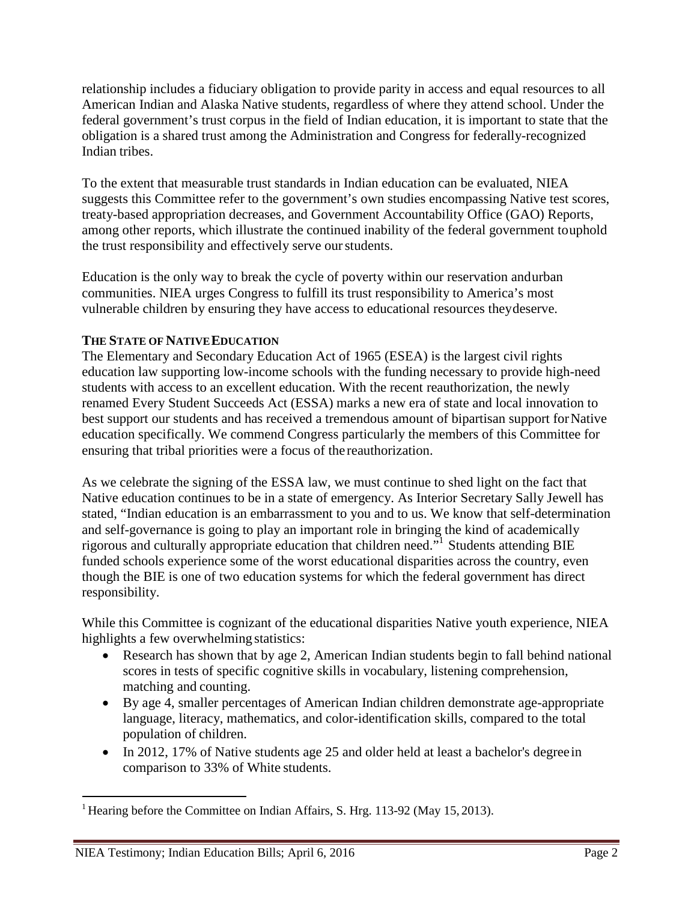relationship includes a fiduciary obligation to provide parity in access and equal resources to all American Indian and Alaska Native students, regardless of where they attend school. Under the federal government's trust corpus in the field of Indian education, it is important to state that the obligation is a shared trust among the Administration and Congress for federally-recognized Indian tribes.

To the extent that measurable trust standards in Indian education can be evaluated, NIEA suggests this Committee refer to the government's own studies encompassing Native test scores, treaty-based appropriation decreases, and Government Accountability Office (GAO) Reports, among other reports, which illustrate the continued inability of the federal government touphold the trust responsibility and effectively serve ourstudents.

Education is the only way to break the cycle of poverty within our reservation andurban communities. NIEA urges Congress to fulfill its trust responsibility to America's most vulnerable children by ensuring they have access to educational resources theydeserve.

## **THE STATE OF NATIVEEDUCATION**

The Elementary and Secondary Education Act of 1965 (ESEA) is the largest civil rights education law supporting low-income schools with the funding necessary to provide high-need students with access to an excellent education. With the recent reauthorization, the newly renamed Every Student Succeeds Act (ESSA) marks a new era of state and local innovation to best support our students and has received a tremendous amount of bipartisan support for Native education specifically. We commend Congress particularly the members of this Committee for ensuring that tribal priorities were a focus of the reauthorization.

As we celebrate the signing of the ESSA law, we must continue to shed light on the fact that Native education continues to be in a state of emergency. As Interior Secretary Sally Jewell has stated, "Indian education is an embarrassment to you and to us. We know that self-determination and self-governance is going to play an important role in bringing the kind of academically rigorous and culturally appropriate education that children need.["1](#page-1-0) Students attending BIE funded schools experience some of the worst educational disparities across the country, even though the BIE is one of two education systems for which the federal government has direct responsibility.

While this Committee is cognizant of the educational disparities Native youth experience, NIEA highlights a few overwhelming statistics:

- Research has shown that by age 2, American Indian students begin to fall behind national scores in tests of specific cognitive skills in vocabulary, listening comprehension, matching and counting.
- By age 4, smaller percentages of American Indian children demonstrate age-appropriate language, literacy, mathematics, and color-identification skills, compared to the total population of children.
- In 2012, 17% of Native students age 25 and older held at least a bachelor's degree in comparison to 33% of White students.

<span id="page-1-0"></span><sup>&</sup>lt;sup>1</sup> Hearing before the Committee on Indian Affairs, S. Hrg. 113-92 (May 15, 2013).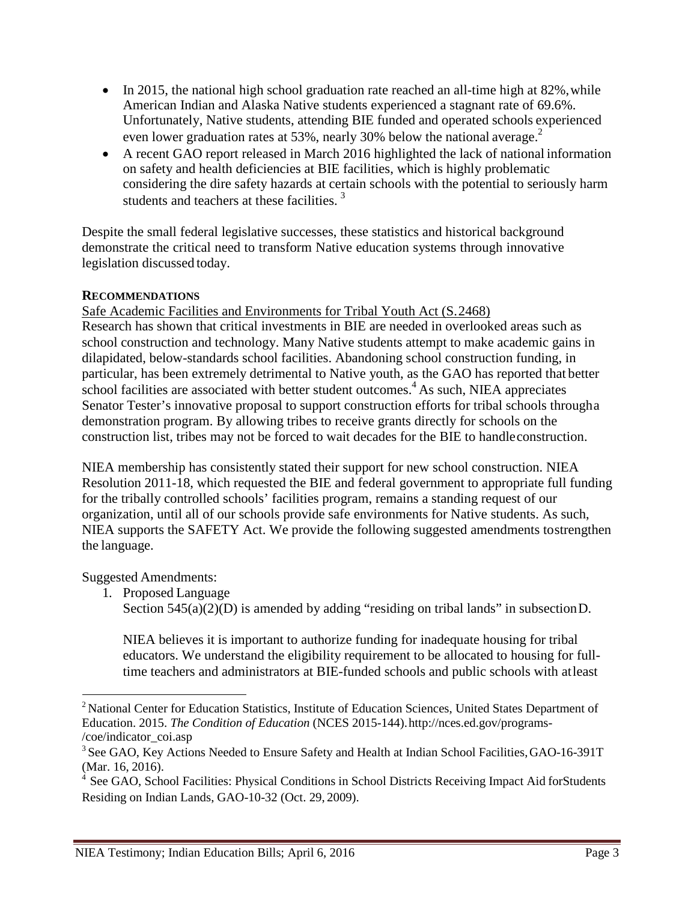- In 2015, the national high school graduation rate reached an all-time high at  $82\%$ , while American Indian and Alaska Native students experienced a stagnant rate of 69.6%. Unfortunately, Native students, attending BIE funded and operated schools experienced even lower graduation rates at 53%, nearly 30% below the national average[.](#page-2-0)<sup>2</sup>
- A recent GAO report released in March 2016 highlighted the lack of national information on safety and health deficiencies at BIE facilities, which is highly problematic considering the dire safety hazards at certain schools with the potential to seriously harm students and teachers at these facilities.<sup>[3](#page-2-1)</sup>

Despite the small federal legislative successes, these statistics and historical background demonstrate the critical need to transform Native education systems through innovative legislation discussed today.

## **RECOMMENDATIONS**

Safe Academic Facilities and Environments for Tribal Youth Act (S.2468) Research has shown that critical investments in BIE are needed in overlooked areas such as school construction and technology. Many Native students attempt to make academic gains in dilapidated, below-standards school facilities. Abandoning school construction funding, in particular, has been extremely detrimental to Native youth, as the GAO has reported that better school facilities are associated with better student outcomes.<sup>4</sup> As such, NIEA appreciates Senator Tester's innovative proposal to support construction efforts for tribal schools througha demonstration program. By allowing tribes to receive grants directly for schools on the

construction list, tribes may not be forced to wait decades for the BIE to handleconstruction.

NIEA membership has consistently stated their support for new school construction. NIEA Resolution 2011-18, which requested the BIE and federal government to appropriate full funding for the tribally controlled schools' facilities program, remains a standing request of our organization, until all of our schools provide safe environments for Native students. As such, NIEA supports the SAFETY Act. We provide the following suggested amendments tostrengthen the language.

Suggested Amendments:

- 1. Proposed Language
	- Section  $545(a)(2)(D)$  is amended by adding "residing on tribal lands" in subsection D.

NIEA believes it is important to authorize funding for inadequate housing for tribal educators. We understand the eligibility requirement to be allocated to housing for fulltime teachers and administrators at BIE-funded schools and public schools with atleast

<span id="page-2-0"></span><sup>&</sup>lt;sup>2</sup> National Center for Education Statistics, Institute of Education Sciences, United States Department of Education. 2015. *The Condition of Education* (NCES 2015-144)[.http://nces.ed.gov/programs-](http://nces.ed.gov/programs-/coe/indicator_coi.asp) [/coe/indicator\\_coi.asp](http://nces.ed.gov/programs-/coe/indicator_coi.asp)

<span id="page-2-1"></span><sup>&</sup>lt;sup>3</sup> See GAO, Key Actions Needed to Ensure Safety and Health at Indian School Facilities, GAO-16-391T (Mar. 16, 2016).

See GAO, School Facilities: Physical Conditions in School Districts Receiving Impact Aid forStudents Residing on Indian Lands, GAO-10-32 (Oct. 29, 2009).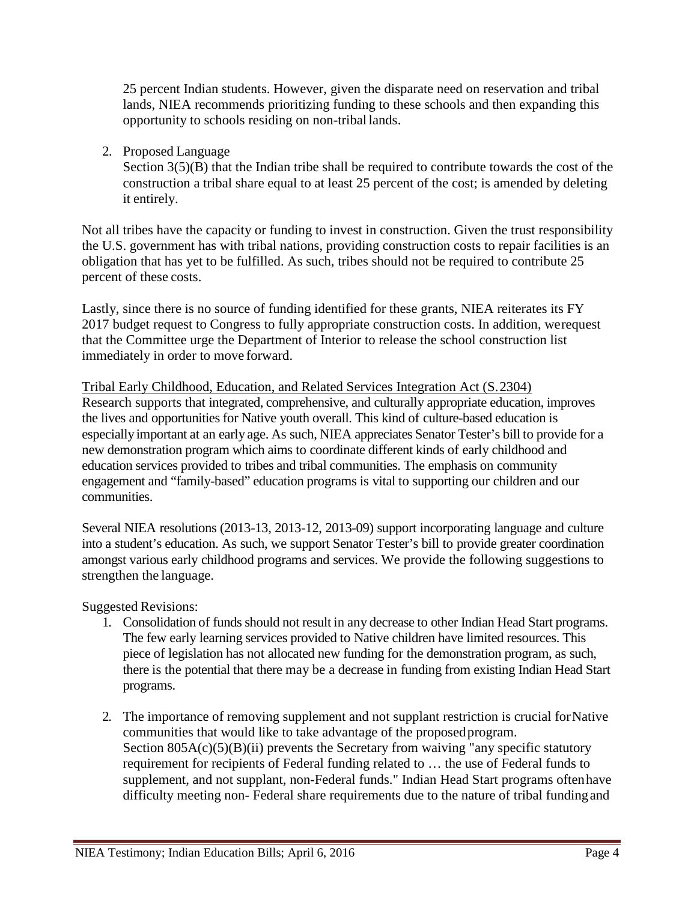25 percent Indian students. However, given the disparate need on reservation and tribal lands, NIEA recommends prioritizing funding to these schools and then expanding this opportunity to schools residing on non-tribal lands.

2. Proposed Language

Section  $3(5)(B)$  that the Indian tribe shall be required to contribute towards the cost of the construction a tribal share equal to at least 25 percent of the cost; is amended by deleting it entirely.

Not all tribes have the capacity or funding to invest in construction. Given the trust responsibility the U.S. government has with tribal nations, providing construction costs to repair facilities is an obligation that has yet to be fulfilled. As such, tribes should not be required to contribute 25 percent of these costs.

Lastly, since there is no source of funding identified for these grants, NIEA reiterates its FY 2017 budget request to Congress to fully appropriate construction costs. In addition, werequest that the Committee urge the Department of Interior to release the school construction list immediately in order to move forward.

Tribal Early Childhood, Education, and Related Services Integration Act (S.2304) Research supports that integrated, comprehensive, and culturally appropriate education, improves the lives and opportunities for Native youth overall. This kind of culture-based education is especiallyimportant at an early age. As such, NIEA appreciates Senator Tester's bill to provide for a new demonstration program which aims to coordinate different kinds of early childhood and education services provided to tribes and tribal communities. The emphasis on community engagement and "family-based" education programs is vital to supporting our children and our communities.

Several NIEA resolutions (2013-13, 2013-12, 2013-09) support incorporating language and culture into a student's education. As such, we support Senator Tester's bill to provide greater coordination amongst various early childhood programs and services. We provide the following suggestions to strengthen the language.

Suggested Revisions:

- 1. Consolidation of funds should not result in any decrease to other Indian Head Start programs. The few early learning services provided to Native children have limited resources. This piece of legislation has not allocated new funding for the demonstration program, as such, there is the potential that there may be a decrease in funding from existing Indian Head Start programs.
- 2. The importance of removing supplement and not supplant restriction is crucial forNative communities that would like to take advantage of the proposed program. Section  $805A(c)(5)(B)(ii)$  prevents the Secretary from waiving "any specific statutory" requirement for recipients of Federal funding related to … the use of Federal funds to supplement, and not supplant, non-Federal funds." Indian Head Start programs oftenhave difficulty meeting non- Federal share requirements due to the nature of tribal funding and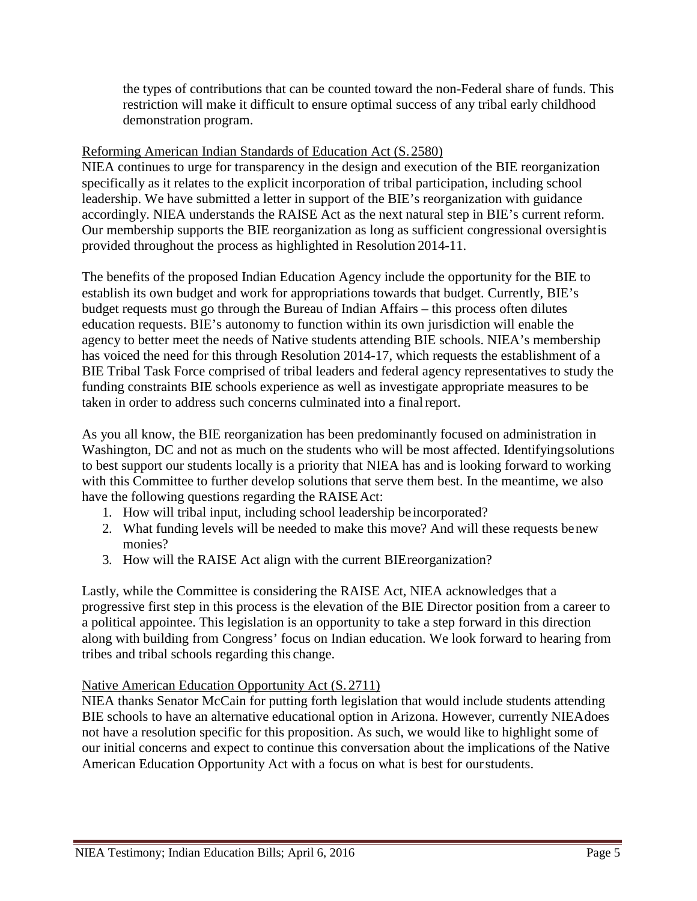the types of contributions that can be counted toward the non-Federal share of funds. This restriction will make it difficult to ensure optimal success of any tribal early childhood demonstration program.

### Reforming American Indian Standards of Education Act (S.2580)

NIEA continues to urge for transparency in the design and execution of the BIE reorganization specifically as it relates to the explicit incorporation of tribal participation, including school leadership. We have submitted a letter in support of the BIE's reorganization with guidance accordingly. NIEA understands the RAISE Act as the next natural step in BIE's current reform. Our membership supports the BIE reorganization as long as sufficient congressional oversightis provided throughout the process as highlighted in Resolution 2014-11.

The benefits of the proposed Indian Education Agency include the opportunity for the BIE to establish its own budget and work for appropriations towards that budget. Currently, BIE's budget requests must go through the Bureau of Indian Affairs – this process often dilutes education requests. BIE's autonomy to function within its own jurisdiction will enable the agency to better meet the needs of Native students attending BIE schools. NIEA's membership has voiced the need for this through Resolution 2014-17, which requests the establishment of a BIE Tribal Task Force comprised of tribal leaders and federal agency representatives to study the funding constraints BIE schools experience as well as investigate appropriate measures to be taken in order to address such concerns culminated into a finalreport.

As you all know, the BIE reorganization has been predominantly focused on administration in Washington, DC and not as much on the students who will be most affected. Identifyingsolutions to best support our students locally is a priority that NIEA has and is looking forward to working with this Committee to further develop solutions that serve them best. In the meantime, we also have the following questions regarding the RAISE Act:

- 1. How will tribal input, including school leadership be incorporated?
- 2. What funding levels will be needed to make this move? And will these requests benew monies?
- 3. How will the RAISE Act align with the current BIEreorganization?

Lastly, while the Committee is considering the RAISE Act, NIEA acknowledges that a progressive first step in this process is the elevation of the BIE Director position from a career to a political appointee. This legislation is an opportunity to take a step forward in this direction along with building from Congress' focus on Indian education. We look forward to hearing from tribes and tribal schools regarding this change.

## Native American Education Opportunity Act (S. 2711)

NIEA thanks Senator McCain for putting forth legislation that would include students attending BIE schools to have an alternative educational option in Arizona. However, currently NIEAdoes not have a resolution specific for this proposition. As such, we would like to highlight some of our initial concerns and expect to continue this conversation about the implications of the Native American Education Opportunity Act with a focus on what is best for ourstudents.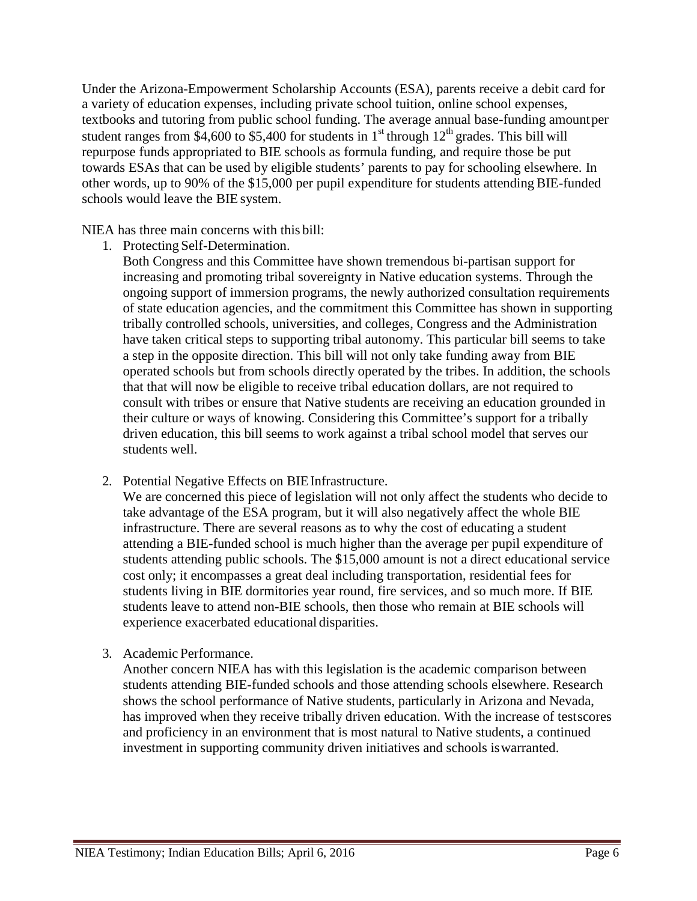Under the Arizona-Empowerment Scholarship Accounts (ESA), parents receive a debit card for a variety of education expenses, including private school tuition, online school expenses, textbooks and tutoring from public school funding. The average annual base-funding amountper student ranges from \$4,600 to \$5,400 for students in  $1<sup>st</sup>$  through  $12<sup>th</sup>$  grades. This bill will repurpose funds appropriated to BIE schools as formula funding, and require those be put towards ESAs that can be used by eligible students' parents to pay for schooling elsewhere. In other words, up to 90% of the \$15,000 per pupil expenditure for students attending BIE-funded schools would leave the BIE system.

NIEA has three main concerns with this bill:

- 1. Protecting Self-Determination.
	- Both Congress and this Committee have shown tremendous bi-partisan support for increasing and promoting tribal sovereignty in Native education systems. Through the ongoing support of immersion programs, the newly authorized consultation requirements of state education agencies, and the commitment this Committee has shown in supporting tribally controlled schools, universities, and colleges, Congress and the Administration have taken critical steps to supporting tribal autonomy. This particular bill seems to take a step in the opposite direction. This bill will not only take funding away from BIE operated schools but from schools directly operated by the tribes. In addition, the schools that that will now be eligible to receive tribal education dollars, are not required to consult with tribes or ensure that Native students are receiving an education grounded in their culture or ways of knowing. Considering this Committee's support for a tribally driven education, this bill seems to work against a tribal school model that serves our students well.
- 2. Potential Negative Effects on BIE Infrastructure.

We are concerned this piece of legislation will not only affect the students who decide to take advantage of the ESA program, but it will also negatively affect the whole BIE infrastructure. There are several reasons as to why the cost of educating a student attending a BIE-funded school is much higher than the average per pupil expenditure of students attending public schools. The \$15,000 amount is not a direct educational service cost only; it encompasses a great deal including transportation, residential fees for students living in BIE dormitories year round, fire services, and so much more. If BIE students leave to attend non-BIE schools, then those who remain at BIE schools will experience exacerbated educational disparities.

3. Academic Performance.

Another concern NIEA has with this legislation is the academic comparison between students attending BIE-funded schools and those attending schools elsewhere. Research shows the school performance of Native students, particularly in Arizona and Nevada, has improved when they receive tribally driven education. With the increase of testscores and proficiency in an environment that is most natural to Native students, a continued investment in supporting community driven initiatives and schools iswarranted.